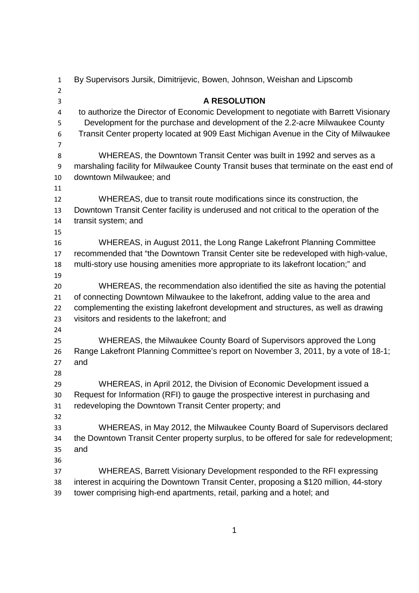| $\mathbf{1}$   | By Supervisors Jursik, Dimitrijevic, Bowen, Johnson, Weishan and Lipscomb                |
|----------------|------------------------------------------------------------------------------------------|
| $\overline{2}$ |                                                                                          |
| 3              | <b>A RESOLUTION</b>                                                                      |
| $\overline{a}$ | to authorize the Director of Economic Development to negotiate with Barrett Visionary    |
| 5              | Development for the purchase and development of the 2.2-acre Milwaukee County            |
| 6              | Transit Center property located at 909 East Michigan Avenue in the City of Milwaukee     |
| 7              |                                                                                          |
| 8              | WHEREAS, the Downtown Transit Center was built in 1992 and serves as a                   |
| 9              | marshaling facility for Milwaukee County Transit buses that terminate on the east end of |
| 10             | downtown Milwaukee; and                                                                  |
| 11             |                                                                                          |
| 12             | WHEREAS, due to transit route modifications since its construction, the                  |
| 13             | Downtown Transit Center facility is underused and not critical to the operation of the   |
| 14             | transit system; and                                                                      |
| 15             |                                                                                          |
| 16             | WHEREAS, in August 2011, the Long Range Lakefront Planning Committee                     |
| 17             | recommended that "the Downtown Transit Center site be redeveloped with high-value,       |
| 18             | multi-story use housing amenities more appropriate to its lakefront location;" and       |
| 19             |                                                                                          |
| 20             | WHEREAS, the recommendation also identified the site as having the potential             |
| 21             | of connecting Downtown Milwaukee to the lakefront, adding value to the area and          |
| 22             | complementing the existing lakefront development and structures, as well as drawing      |
| 23             | visitors and residents to the lakefront; and                                             |
| 24             |                                                                                          |
| 25             | WHEREAS, the Milwaukee County Board of Supervisors approved the Long                     |
| 26             | Range Lakefront Planning Committee's report on November 3, 2011, by a vote of 18-1;      |
| 27             | and                                                                                      |
| 28             |                                                                                          |
| 29             | WHEREAS, in April 2012, the Division of Economic Development issued a                    |
| 30             | Request for Information (RFI) to gauge the prospective interest in purchasing and        |
| 31             | redeveloping the Downtown Transit Center property; and                                   |
| 32             |                                                                                          |
| 33             | WHEREAS, in May 2012, the Milwaukee County Board of Supervisors declared                 |
| 34             | the Downtown Transit Center property surplus, to be offered for sale for redevelopment;  |
| 35             | and                                                                                      |
| 36             |                                                                                          |
| 37             | WHEREAS, Barrett Visionary Development responded to the RFI expressing                   |
| 38             | interest in acquiring the Downtown Transit Center, proposing a \$120 million, 44-story   |
| 39             | tower comprising high-end apartments, retail, parking and a hotel; and                   |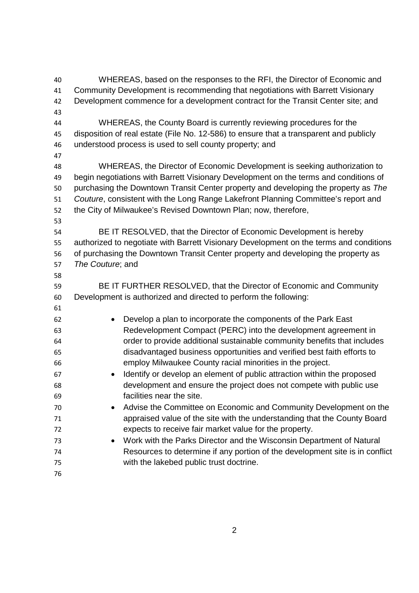WHEREAS, based on the responses to the RFI, the Director of Economic and Community Development is recommending that negotiations with Barrett Visionary Development commence for a development contract for the Transit Center site; and WHEREAS, the County Board is currently reviewing procedures for the disposition of real estate (File No. 12-586) to ensure that a transparent and publicly understood process is used to sell county property; and WHEREAS, the Director of Economic Development is seeking authorization to begin negotiations with Barrett Visionary Development on the terms and conditions of purchasing the Downtown Transit Center property and developing the property as *The Couture*, consistent with the Long Range Lakefront Planning Committee's report and the City of Milwaukee's Revised Downtown Plan; now, therefore, BE IT RESOLVED, that the Director of Economic Development is hereby authorized to negotiate with Barrett Visionary Development on the terms and conditions of purchasing the Downtown Transit Center property and developing the property as *The Couture*; and BE IT FURTHER RESOLVED, that the Director of Economic and Community Development is authorized and directed to perform the following: Develop a plan to incorporate the components of the Park East Redevelopment Compact (PERC) into the development agreement in order to provide additional sustainable community benefits that includes disadvantaged business opportunities and verified best faith efforts to employ Milwaukee County racial minorities in the project. Identify or develop an element of public attraction within the proposed development and ensure the project does not compete with public use facilities near the site. Advise the Committee on Economic and Community Development on the appraised value of the site with the understanding that the County Board expects to receive fair market value for the property. Work with the Parks Director and the Wisconsin Department of Natural Resources to determine if any portion of the development site is in conflict with the lakebed public trust doctrine.